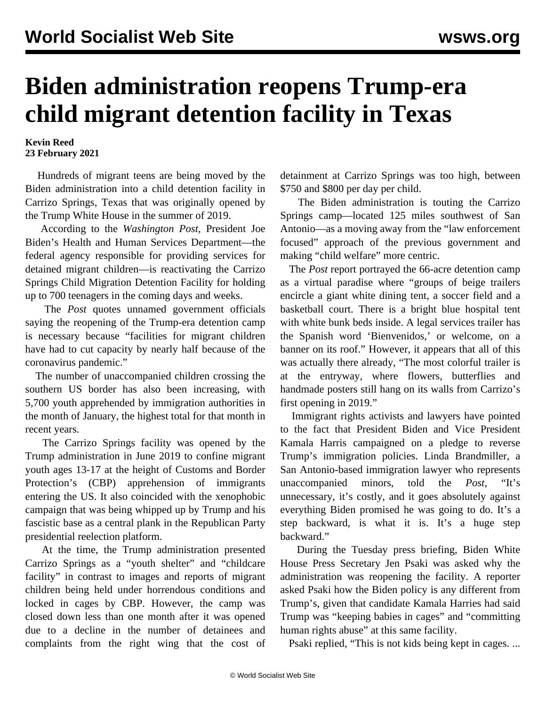## **Biden administration reopens Trump-era child migrant detention facility in Texas**

## **Kevin Reed 23 February 2021**

 Hundreds of migrant teens are being moved by the Biden administration into a child detention facility in Carrizo Springs, Texas that was originally opened by the Trump White House in the summer of 2019.

 According to the *Washington Post*, President Joe Biden's Health and Human Services Department—the federal agency responsible for providing services for detained migrant children—is reactivating the Carrizo Springs Child Migration Detention Facility for holding up to 700 teenagers in the coming days and weeks.

 The *Post* quotes unnamed government officials saying the reopening of the Trump-era detention camp is necessary because "facilities for migrant children have had to cut capacity by nearly half because of the coronavirus pandemic."

 The number of unaccompanied children crossing the southern US border has also been increasing, with 5,700 youth apprehended by immigration authorities in the month of January, the highest total for that month in recent years.

 The Carrizo Springs facility was opened by the Trump administration in June 2019 to confine migrant youth ages 13-17 at the height of Customs and Border Protection's (CBP) apprehension of immigrants entering the US. It also coincided with the xenophobic campaign that was being whipped up by Trump and his fascistic base as a central plank in the Republican Party presidential reelection platform.

 At the time, the Trump administration presented Carrizo Springs as a "youth shelter" and "childcare facility" in contrast to images and reports of migrant children being held under horrendous conditions and locked in cages by CBP. However, the camp was closed down less than one month after it was opened due to a decline in the number of detainees and complaints from the right wing that the cost of detainment at Carrizo Springs was too high, between \$750 and \$800 per day per child.

 The Biden administration is touting the Carrizo Springs camp—located 125 miles southwest of San Antonio—as a moving away from the "law enforcement focused" approach of the previous government and making "child welfare" more centric.

 The *Post* report portrayed the 66-acre detention camp as a virtual paradise where "groups of beige trailers encircle a giant white dining tent, a soccer field and a basketball court. There is a bright blue hospital tent with white bunk beds inside. A legal services trailer has the Spanish word 'Bienvenidos,' or welcome, on a banner on its roof." However, it appears that all of this was actually there already, "The most colorful trailer is at the entryway, where flowers, butterflies and handmade posters still hang on its walls from Carrizo's first opening in 2019."

 Immigrant rights activists and lawyers have pointed to the fact that President Biden and Vice President Kamala Harris campaigned on a pledge to reverse Trump's immigration policies. Linda Brandmiller, a San Antonio-based immigration lawyer who represents unaccompanied minors, told the *Post*, "It's unnecessary, it's costly, and it goes absolutely against everything Biden promised he was going to do. It's a step backward, is what it is. It's a huge step backward."

 During the Tuesday press briefing, Biden White House Press Secretary Jen Psaki was asked why the administration was reopening the facility. A reporter asked Psaki how the Biden policy is any different from Trump's, given that candidate Kamala Harries had said Trump was "keeping babies in cages" and "committing human rights abuse" at this same facility.

Psaki replied, "This is not kids being kept in cages. ...